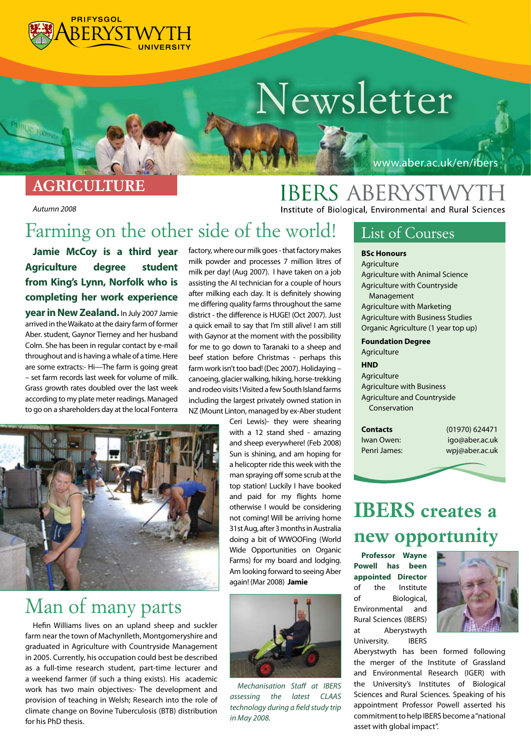

# *Newsletter*

#### *AGRICULTURE*

*Autumn 2008* 

#### www.aber.ac.uk/en/ibers

**IBERS ABERYSTWYTH** Institute of Biological, Environmental and Rural Sciences

### *Farming on the other side of the world!*

**Jamie McCoy is a third year Agriculture degree student from King's Lynn, Norfolk who is completing her work experience year in New Zealand.**In July 2007 Jamie arrived in the Waikato at the dairy farm of former Aber. student, Gaynor Tierney and her husband Colm. She has been in regular contact by e-mail throughout and is having a whale of a time. Here are some extracts:- Hi-The farm is going great – set farm records last week for volume of milk. Grass growth rates doubled over the last week according to my plate meter readings. Managed to go on a shareholders day at the local Fonterra

factory, where our milk goes - that factory makes milk powder and processes 7 million litres of milk per day! (Aug 2007). I have taken on a job assisting the AI technician for a couple of hours after milking each day. It is definitely showing me differing quality farms throughout the same district - the difference is HUGE! (Oct 2007). Just a quick email to say that I'm still alive! I am still with Gaynor at the moment with the possibility for me to go down to Taranaki to a sheep and beef station before Christmas - perhaps this farm work isn't too bad! (Dec 2007). Holidaying – canoeing, glacier walking, hiking, horse-trekking and rodeo visits ! Visited a few South Island farms including the largest privately owned station in NZ (Mount Linton, managed by ex-Aber student



### *Man of many parts*

Hefin Williams lives on an upland sheep and suckler farm near the town of Machynlleth, Montgomeryshire and graduated in Agriculture with Countryside Management in 2005. Currently, his occupation could best be described as a full-time research student, part-time lecturer and a weekend farmer (if such a thing exists). His academic work has two main objectives:- The development and provision of teaching in Welsh; Research into the role of climate change on Bovine Tuberculosis (BTB) distribution for his PhD thesis.

Ceri Lewis)- they were shearing with a 12 stand shed - amazing and sheep everywhere! (Feb 2008) Sun is shining, and am hoping for a helicopter ride this week with the man spraying off some scrub at the top station! Luckily I have booked and paid for my flights home otherwise I would be considering not coming! Will be arriving home 31st Aug, after 3 months in Australia doing a bit of WWOOFing (World Wide Opportunities on Organic Farms) for my board and lodging. Am looking forward to seeing Aber again! (Mar 2008) **Jamie**



*Mechanisation Staff at IBERS assessing the latest CLAAS technology during a field study trip in May 2008.*

#### *List of Courses*

#### **BSc Honours**

**Agriculture** Agriculture with Animal Science Agriculture with Countryside Management Agriculture with Marketing Agriculture with Business Studies Organic Agriculture (1 year top up)

#### **Foundation Degree**

Agriculture

**HND** Agriculture Agriculture with Business Agriculture and Countryside Conservation

**Contacts** (01970) 624471 Iwan Owen: igo@aber.ac.uk Penri James: wpj@aber.ac.uk

### *IBERS creates a new opportunity*

**Professor Wayne Powell has been appointed Director** of the Institute of Biological, Environmental and Rural Sciences (IBERS) at Aberystwyth University. IBERS



Aberystwyth has been formed following the merger of the Institute of Grassland and Environmental Research (IGER) with the University's Institutes of Biological Sciences and Rural Sciences. Speaking of his appointment Professor Powell asserted his commitment to help IBERS become a "national asset with global impact".